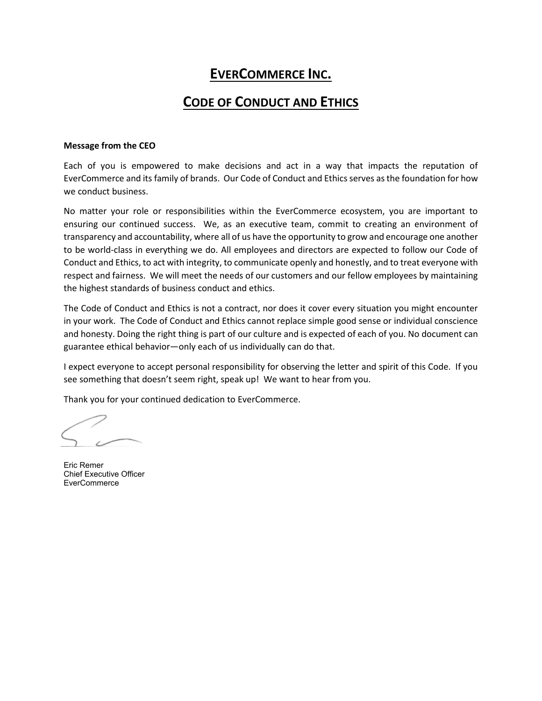# **EVERCOMMERCE INC.**

# **CODE OF CONDUCT AND ETHICS**

#### **Message from the CEO**

Each of you is empowered to make decisions and act in a way that impacts the reputation of EverCommerce and its family of brands. Our Code of Conduct and Ethics serves as the foundation for how we conduct business.

No matter your role or responsibilities within the EverCommerce ecosystem, you are important to ensuring our continued success. We, as an executive team, commit to creating an environment of transparency and accountability, where all of us have the opportunity to grow and encourage one another to be world-class in everything we do. All employees and directors are expected to follow our Code of Conduct and Ethics, to act with integrity, to communicate openly and honestly, and to treat everyone with respect and fairness. We will meet the needs of our customers and our fellow employees by maintaining the highest standards of business conduct and ethics.

The Code of Conduct and Ethics is not a contract, nor does it cover every situation you might encounter in your work. The Code of Conduct and Ethics cannot replace simple good sense or individual conscience and honesty. Doing the right thing is part of our culture and is expected of each of you. No document can guarantee ethical behavior—only each of us individually can do that.

I expect everyone to accept personal responsibility for observing the letter and spirit of this Code. If you see something that doesn't seem right, speak up! We want to hear from you.

Thank you for your continued dedication to EverCommerce.

 $\overline{\mathscr{S}}$ 

Eric Remer Chief Executive Officer EverCommerce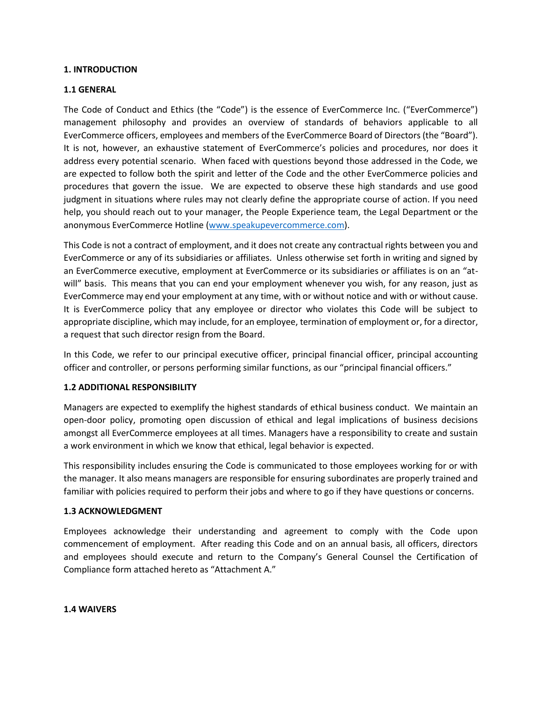#### **1. INTRODUCTION**

#### **1.1 GENERAL**

The Code of Conduct and Ethics (the "Code") is the essence of EverCommerce Inc. ("EverCommerce") management philosophy and provides an overview of standards of behaviors applicable to all EverCommerce officers, employees and members of the EverCommerce Board of Directors (the "Board"). It is not, however, an exhaustive statement of EverCommerce's policies and procedures, nor does it address every potential scenario. When faced with questions beyond those addressed in the Code, we are expected to follow both the spirit and letter of the Code and the other EverCommerce policies and procedures that govern the issue. We are expected to observe these high standards and use good judgment in situations where rules may not clearly define the appropriate course of action. If you need help, you should reach out to your manager, the People Experience team, the Legal Department or the anonymous EverCommerce Hotline [\(www.speakupevercommerce.com\)](http://www.speakupevercommerce.com/).

This Code is not a contract of employment, and it does not create any contractual rights between you and EverCommerce or any of its subsidiaries or affiliates. Unless otherwise set forth in writing and signed by an EverCommerce executive, employment at EverCommerce or its subsidiaries or affiliates is on an "atwill" basis. This means that you can end your employment whenever you wish, for any reason, just as EverCommerce may end your employment at any time, with or without notice and with or without cause. It is EverCommerce policy that any employee or director who violates this Code will be subject to appropriate discipline, which may include, for an employee, termination of employment or, for a director, a request that such director resign from the Board.

In this Code, we refer to our principal executive officer, principal financial officer, principal accounting officer and controller, or persons performing similar functions, as our "principal financial officers."

#### **1.2 ADDITIONAL RESPONSIBILITY**

Managers are expected to exemplify the highest standards of ethical business conduct. We maintain an open-door policy, promoting open discussion of ethical and legal implications of business decisions amongst all EverCommerce employees at all times. Managers have a responsibility to create and sustain a work environment in which we know that ethical, legal behavior is expected.

This responsibility includes ensuring the Code is communicated to those employees working for or with the manager. It also means managers are responsible for ensuring subordinates are properly trained and familiar with policies required to perform their jobs and where to go if they have questions or concerns.

#### **1.3 ACKNOWLEDGMENT**

Employees acknowledge their understanding and agreement to comply with the Code upon commencement of employment. After reading this Code and on an annual basis, all officers, directors and employees should execute and return to the Company's General Counsel the Certification of Compliance form attached hereto as "Attachment A."

**1.4 WAIVERS**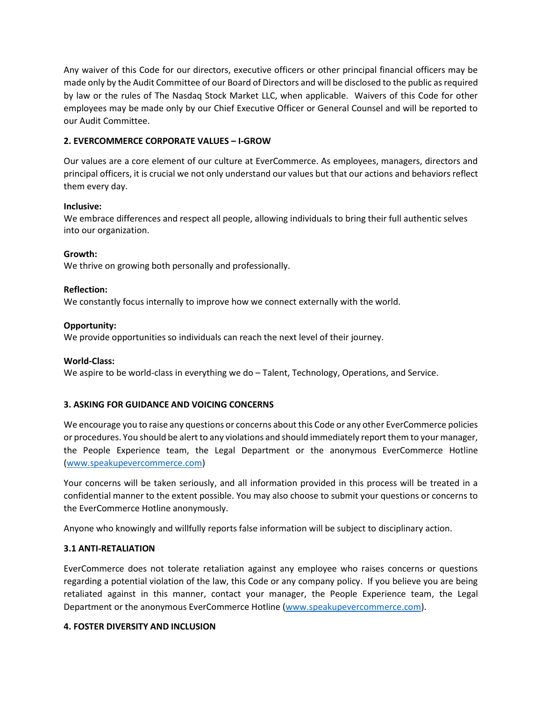Any waiver of this Code for our directors, executive officers or other principal financial officers may be made only by the Audit Committee of our Board of Directors and will be disclosed to the public as required by law or the rules of The Nasdaq Stock Market LLC, when applicable. Waivers of this Code for other employees may be made only by our Chief Executive Officer or General Counsel and will be reported to our Audit Committee.

### **2. EVERCOMMERCE CORPORATE VALUES – I-GROW**

Our values are a core element of our culture at EverCommerce. As employees, managers, directors and principal officers, it is crucial we not only understand our values but that our actions and behaviors reflect them every day.

#### **Inclusive:**

We embrace differences and respect all people, allowing individuals to bring their full authentic selves into our organization.

#### **Growth:**

We thrive on growing both personally and professionally.

#### **Reflection:**

We constantly focus internally to improve how we connect externally with the world.

#### **Opportunity:**

We provide opportunities so individuals can reach the next level of their journey.

#### **World-Class:**

We aspire to be world-class in everything we do – Talent, Technology, Operations, and Service.

#### **3. ASKING FOR GUIDANCE AND VOICING CONCERNS**

We encourage you to raise any questions or concerns about this Code or any other EverCommerce policies or procedures. You should be alert to any violations and should immediately report them to your manager, the People Experience team, the Legal Department or the anonymous EverCommerce Hotline [\(www.speakupevercommerce.com\)](http://www.speakupevercommerce.com/)

Your concerns will be taken seriously, and all information provided in this process will be treated in a confidential manner to the extent possible. You may also choose to submit your questions or concerns to the EverCommerce Hotline anonymously.

Anyone who knowingly and willfully reports false information will be subject to disciplinary action.

#### **3.1 ANTI-RETALIATION**

EverCommerce does not tolerate retaliation against any employee who raises concerns or questions regarding a potential violation of the law, this Code or any company policy. If you believe you are being retaliated against in this manner, contact your manager, the People Experience team, the Legal Department or the anonymous EverCommerce Hotline [\(www.speakupevercommerce.com\)](http://www.speakupevercommerce.com/).

#### **4. FOSTER DIVERSITY AND INCLUSION**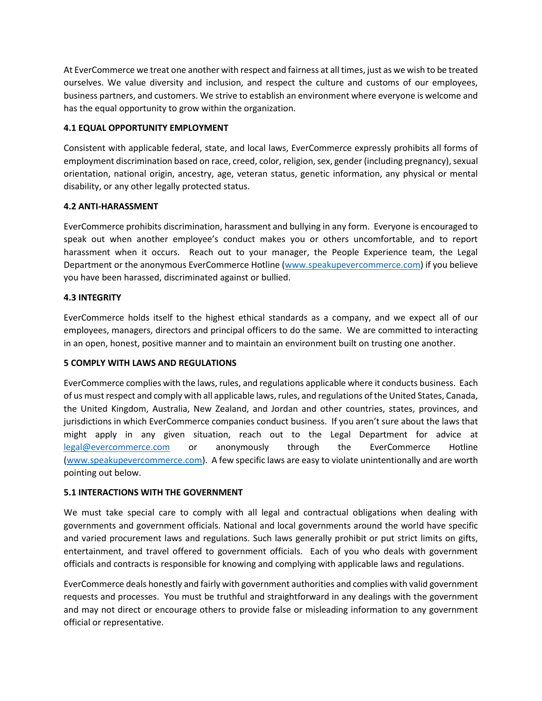At EverCommerce we treat one another with respect and fairness at all times, just as we wish to be treated ourselves. We value diversity and inclusion, and respect the culture and customs of our employees, business partners, and customers. We strive to establish an environment where everyone is welcome and has the equal opportunity to grow within the organization.

# **4.1 EQUAL OPPORTUNITY EMPLOYMENT**

Consistent with applicable federal, state, and local laws, EverCommerce expressly prohibits all forms of employment discrimination based on race, creed, color, religion, sex, gender (including pregnancy), sexual orientation, national origin, ancestry, age, veteran status, genetic information, any physical or mental disability, or any other legally protected status.

#### **4.2 ANTI-HARASSMENT**

EverCommerce prohibits discrimination, harassment and bullying in any form. Everyone is encouraged to speak out when another employee's conduct makes you or others uncomfortable, and to report harassment when it occurs. Reach out to your manager, the People Experience team, the Legal Department or the anonymous EverCommerce Hotline [\(www.speakupevercommerce.com\)](http://www.speakupevercommerce.com/) if you believe you have been harassed, discriminated against or bullied.

## **4.3 INTEGRITY**

EverCommerce holds itself to the highest ethical standards as a company, and we expect all of our employees, managers, directors and principal officers to do the same. We are committed to interacting in an open, honest, positive manner and to maintain an environment built on trusting one another.

# **5 COMPLY WITH LAWS AND REGULATIONS**

EverCommerce complies with the laws, rules, and regulations applicable where it conducts business. Each of us must respect and comply with all applicable laws, rules, and regulations of the United States, Canada, the United Kingdom, Australia, New Zealand, and Jordan and other countries, states, provinces, and jurisdictions in which EverCommerce companies conduct business. If you aren't sure about the laws that might apply in any given situation, reach out to the Legal Department for advice at [legal@evercommerce.com](mailto:legal@evercommerce.com) or anonymously through the EverCommerce Hotline [\(www.speakupevercommerce.com\)](http://www.speakupevercommerce.com/). A few specific laws are easy to violate unintentionally and are worth pointing out below.

# **5.1 INTERACTIONS WITH THE GOVERNMENT**

We must take special care to comply with all legal and contractual obligations when dealing with governments and government officials. National and local governments around the world have specific and varied procurement laws and regulations. Such laws generally prohibit or put strict limits on gifts, entertainment, and travel offered to government officials. Each of you who deals with government officials and contracts is responsible for knowing and complying with applicable laws and regulations.

EverCommerce deals honestly and fairly with government authorities and complies with valid government requests and processes. You must be truthful and straightforward in any dealings with the government and may not direct or encourage others to provide false or misleading information to any government official or representative.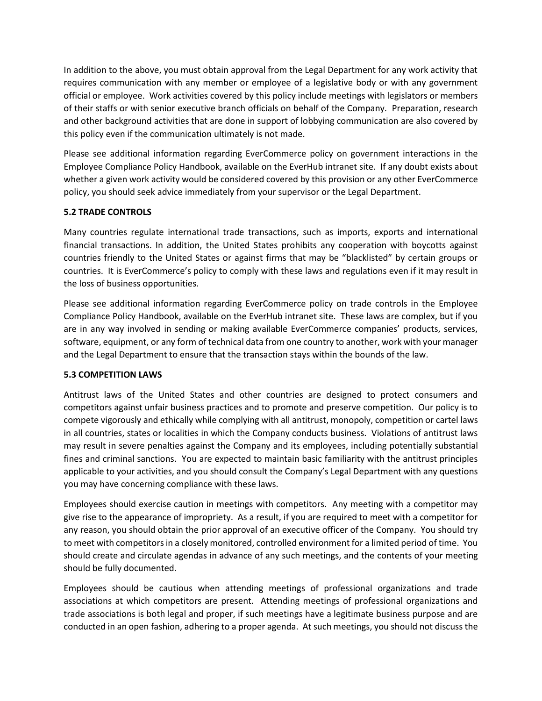In addition to the above, you must obtain approval from the Legal Department for any work activity that requires communication with any member or employee of a legislative body or with any government official or employee. Work activities covered by this policy include meetings with legislators or members of their staffs or with senior executive branch officials on behalf of the Company. Preparation, research and other background activities that are done in support of lobbying communication are also covered by this policy even if the communication ultimately is not made.

Please see additional information regarding EverCommerce policy on government interactions in the Employee Compliance Policy Handbook, available on the EverHub intranet site. If any doubt exists about whether a given work activity would be considered covered by this provision or any other EverCommerce policy, you should seek advice immediately from your supervisor or the Legal Department.

## **5.2 TRADE CONTROLS**

Many countries regulate international trade transactions, such as imports, exports and international financial transactions. In addition, the United States prohibits any cooperation with boycotts against countries friendly to the United States or against firms that may be "blacklisted" by certain groups or countries. It is EverCommerce's policy to comply with these laws and regulations even if it may result in the loss of business opportunities.

Please see additional information regarding EverCommerce policy on trade controls in the Employee Compliance Policy Handbook, available on the EverHub intranet site. These laws are complex, but if you are in any way involved in sending or making available EverCommerce companies' products, services, software, equipment, or any form of technical data from one country to another, work with your manager and the Legal Department to ensure that the transaction stays within the bounds of the law.

# **5.3 COMPETITION LAWS**

Antitrust laws of the United States and other countries are designed to protect consumers and competitors against unfair business practices and to promote and preserve competition. Our policy is to compete vigorously and ethically while complying with all antitrust, monopoly, competition or cartel laws in all countries, states or localities in which the Company conducts business. Violations of antitrust laws may result in severe penalties against the Company and its employees, including potentially substantial fines and criminal sanctions. You are expected to maintain basic familiarity with the antitrust principles applicable to your activities, and you should consult the Company's Legal Department with any questions you may have concerning compliance with these laws.

Employees should exercise caution in meetings with competitors. Any meeting with a competitor may give rise to the appearance of impropriety. As a result, if you are required to meet with a competitor for any reason, you should obtain the prior approval of an executive officer of the Company. You should try to meet with competitors in a closely monitored, controlled environment for a limited period of time. You should create and circulate agendas in advance of any such meetings, and the contents of your meeting should be fully documented.

Employees should be cautious when attending meetings of professional organizations and trade associations at which competitors are present. Attending meetings of professional organizations and trade associations is both legal and proper, if such meetings have a legitimate business purpose and are conducted in an open fashion, adhering to a proper agenda. At such meetings, you should not discuss the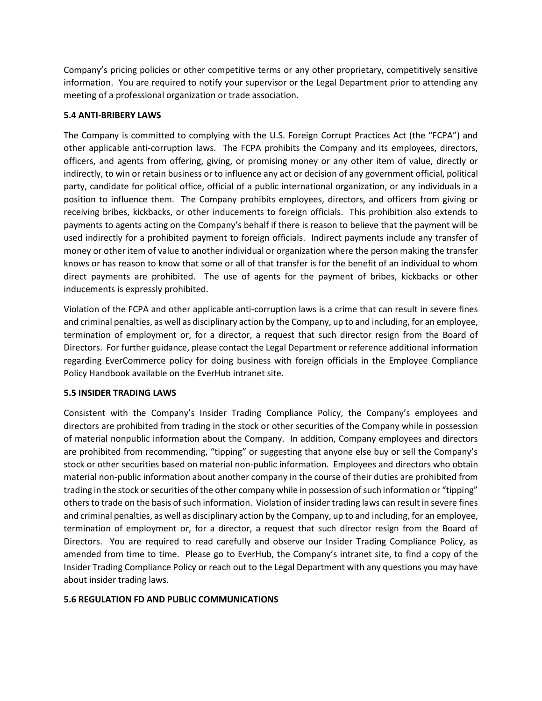Company's pricing policies or other competitive terms or any other proprietary, competitively sensitive information. You are required to notify your supervisor or the Legal Department prior to attending any meeting of a professional organization or trade association.

### **5.4 ANTI-BRIBERY LAWS**

The Company is committed to complying with the U.S. Foreign Corrupt Practices Act (the "FCPA") and other applicable anti-corruption laws. The FCPA prohibits the Company and its employees, directors, officers, and agents from offering, giving, or promising money or any other item of value, directly or indirectly, to win or retain business or to influence any act or decision of any government official, political party, candidate for political office, official of a public international organization, or any individuals in a position to influence them. The Company prohibits employees, directors, and officers from giving or receiving bribes, kickbacks, or other inducements to foreign officials. This prohibition also extends to payments to agents acting on the Company's behalf if there is reason to believe that the payment will be used indirectly for a prohibited payment to foreign officials. Indirect payments include any transfer of money or other item of value to another individual or organization where the person making the transfer knows or has reason to know that some or all of that transfer is for the benefit of an individual to whom direct payments are prohibited. The use of agents for the payment of bribes, kickbacks or other inducements is expressly prohibited.

Violation of the FCPA and other applicable anti-corruption laws is a crime that can result in severe fines and criminal penalties, as well as disciplinary action by the Company, up to and including, for an employee, termination of employment or, for a director, a request that such director resign from the Board of Directors. For further guidance, please contact the Legal Department or reference additional information regarding EverCommerce policy for doing business with foreign officials in the Employee Compliance Policy Handbook available on the EverHub intranet site.

#### **5.5 INSIDER TRADING LAWS**

Consistent with the Company's Insider Trading Compliance Policy, the Company's employees and directors are prohibited from trading in the stock or other securities of the Company while in possession of material nonpublic information about the Company. In addition, Company employees and directors are prohibited from recommending, "tipping" or suggesting that anyone else buy or sell the Company's stock or other securities based on material non-public information. Employees and directors who obtain material non-public information about another company in the course of their duties are prohibited from trading in the stock or securities of the other company while in possession of such information or "tipping" others to trade on the basis of such information. Violation of insider trading laws can result in severe fines and criminal penalties, as well as disciplinary action by the Company, up to and including, for an employee, termination of employment or, for a director, a request that such director resign from the Board of Directors. You are required to read carefully and observe our Insider Trading Compliance Policy, as amended from time to time. Please go to EverHub, the Company's intranet site, to find a copy of the Insider Trading Compliance Policy or reach out to the Legal Department with any questions you may have about insider trading laws.

#### **5.6 REGULATION FD AND PUBLIC COMMUNICATIONS**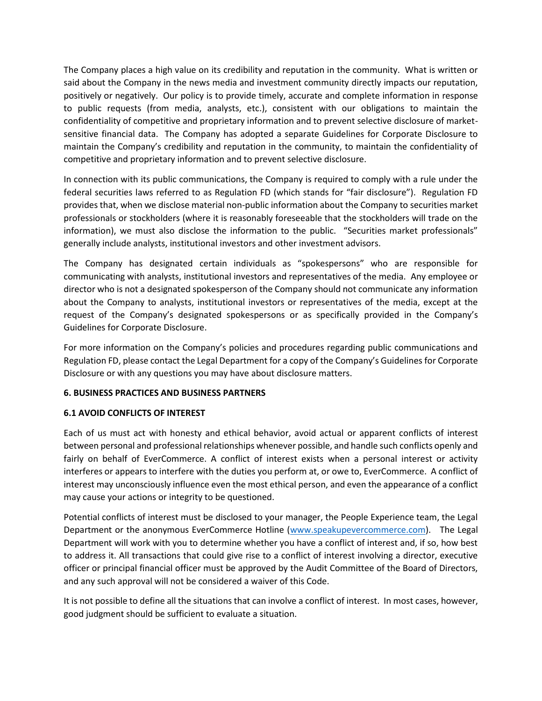The Company places a high value on its credibility and reputation in the community. What is written or said about the Company in the news media and investment community directly impacts our reputation, positively or negatively. Our policy is to provide timely, accurate and complete information in response to public requests (from media, analysts, etc.), consistent with our obligations to maintain the confidentiality of competitive and proprietary information and to prevent selective disclosure of marketsensitive financial data. The Company has adopted a separate Guidelines for Corporate Disclosure to maintain the Company's credibility and reputation in the community, to maintain the confidentiality of competitive and proprietary information and to prevent selective disclosure.

In connection with its public communications, the Company is required to comply with a rule under the federal securities laws referred to as Regulation FD (which stands for "fair disclosure"). Regulation FD provides that, when we disclose material non-public information about the Company to securities market professionals or stockholders (where it is reasonably foreseeable that the stockholders will trade on the information), we must also disclose the information to the public. "Securities market professionals" generally include analysts, institutional investors and other investment advisors.

The Company has designated certain individuals as "spokespersons" who are responsible for communicating with analysts, institutional investors and representatives of the media. Any employee or director who is not a designated spokesperson of the Company should not communicate any information about the Company to analysts, institutional investors or representatives of the media, except at the request of the Company's designated spokespersons or as specifically provided in the Company's Guidelines for Corporate Disclosure.

For more information on the Company's policies and procedures regarding public communications and Regulation FD, please contact the Legal Department for a copy of the Company's Guidelines for Corporate Disclosure or with any questions you may have about disclosure matters.

# **6. BUSINESS PRACTICES AND BUSINESS PARTNERS**

# **6.1 AVOID CONFLICTS OF INTEREST**

Each of us must act with honesty and ethical behavior, avoid actual or apparent conflicts of interest between personal and professional relationships whenever possible, and handle such conflicts openly and fairly on behalf of EverCommerce. A conflict of interest exists when a personal interest or activity interferes or appears to interfere with the duties you perform at, or owe to, EverCommerce. A conflict of interest may unconsciously influence even the most ethical person, and even the appearance of a conflict may cause your actions or integrity to be questioned.

Potential conflicts of interest must be disclosed to your manager, the People Experience team, the Legal Department or the anonymous EverCommerce Hotline [\(www.speakupevercommerce.com\)](http://www.speakupevercommerce.com/). The Legal Department will work with you to determine whether you have a conflict of interest and, if so, how best to address it. All transactions that could give rise to a conflict of interest involving a director, executive officer or principal financial officer must be approved by the Audit Committee of the Board of Directors, and any such approval will not be considered a waiver of this Code.

It is not possible to define all the situations that can involve a conflict of interest. In most cases, however, good judgment should be sufficient to evaluate a situation.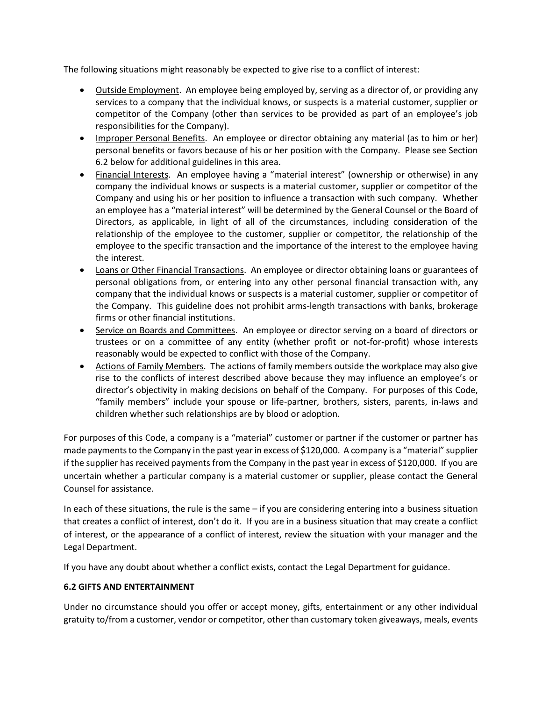The following situations might reasonably be expected to give rise to a conflict of interest:

- Outside Employment. An employee being employed by, serving as a director of, or providing any services to a company that the individual knows, or suspects is a material customer, supplier or competitor of the Company (other than services to be provided as part of an employee's job responsibilities for the Company).
- Improper Personal Benefits. An employee or director obtaining any material (as to him or her) personal benefits or favors because of his or her position with the Company. Please see Section 6.2 below for additional guidelines in this area.
- Financial Interests. An employee having a "material interest" (ownership or otherwise) in any company the individual knows or suspects is a material customer, supplier or competitor of the Company and using his or her position to influence a transaction with such company. Whether an employee has a "material interest" will be determined by the General Counsel or the Board of Directors, as applicable, in light of all of the circumstances, including consideration of the relationship of the employee to the customer, supplier or competitor, the relationship of the employee to the specific transaction and the importance of the interest to the employee having the interest.
- Loans or Other Financial Transactions. An employee or director obtaining loans or guarantees of personal obligations from, or entering into any other personal financial transaction with, any company that the individual knows or suspects is a material customer, supplier or competitor of the Company. This guideline does not prohibit arms-length transactions with banks, brokerage firms or other financial institutions.
- Service on Boards and Committees. An employee or director serving on a board of directors or trustees or on a committee of any entity (whether profit or not-for-profit) whose interests reasonably would be expected to conflict with those of the Company.
- Actions of Family Members. The actions of family members outside the workplace may also give rise to the conflicts of interest described above because they may influence an employee's or director's objectivity in making decisions on behalf of the Company. For purposes of this Code, "family members" include your spouse or life-partner, brothers, sisters, parents, in-laws and children whether such relationships are by blood or adoption.

For purposes of this Code, a company is a "material" customer or partner if the customer or partner has made payments to the Company in the past year in excess of \$120,000. A company is a "material" supplier if the supplier has received payments from the Company in the past year in excess of \$120,000. If you are uncertain whether a particular company is a material customer or supplier, please contact the General Counsel for assistance.

In each of these situations, the rule is the same – if you are considering entering into a business situation that creates a conflict of interest, don't do it. If you are in a business situation that may create a conflict of interest, or the appearance of a conflict of interest, review the situation with your manager and the Legal Department.

If you have any doubt about whether a conflict exists, contact the Legal Department for guidance.

# **6.2 GIFTS AND ENTERTAINMENT**

Under no circumstance should you offer or accept money, gifts, entertainment or any other individual gratuity to/from a customer, vendor or competitor, other than customary token giveaways, meals, events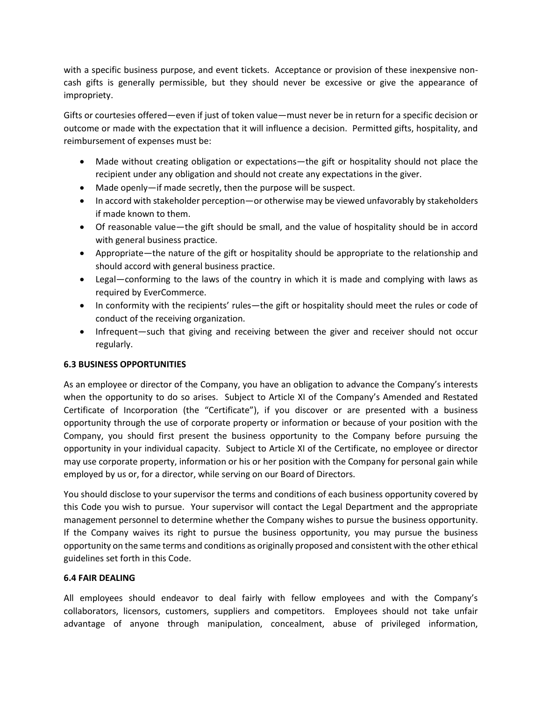with a specific business purpose, and event tickets. Acceptance or provision of these inexpensive noncash gifts is generally permissible, but they should never be excessive or give the appearance of impropriety.

Gifts or courtesies offered—even if just of token value—must never be in return for a specific decision or outcome or made with the expectation that it will influence a decision. Permitted gifts, hospitality, and reimbursement of expenses must be:

- Made without creating obligation or expectations—the gift or hospitality should not place the recipient under any obligation and should not create any expectations in the giver.
- Made openly—if made secretly, then the purpose will be suspect.
- In accord with stakeholder perception—or otherwise may be viewed unfavorably by stakeholders if made known to them.
- Of reasonable value—the gift should be small, and the value of hospitality should be in accord with general business practice.
- Appropriate—the nature of the gift or hospitality should be appropriate to the relationship and should accord with general business practice.
- Legal—conforming to the laws of the country in which it is made and complying with laws as required by EverCommerce.
- In conformity with the recipients' rules—the gift or hospitality should meet the rules or code of conduct of the receiving organization.
- Infrequent—such that giving and receiving between the giver and receiver should not occur regularly.

# **6.3 BUSINESS OPPORTUNITIES**

As an employee or director of the Company, you have an obligation to advance the Company's interests when the opportunity to do so arises. Subject to Article XI of the Company's Amended and Restated Certificate of Incorporation (the "Certificate"), if you discover or are presented with a business opportunity through the use of corporate property or information or because of your position with the Company, you should first present the business opportunity to the Company before pursuing the opportunity in your individual capacity. Subject to Article XI of the Certificate, no employee or director may use corporate property, information or his or her position with the Company for personal gain while employed by us or, for a director, while serving on our Board of Directors.

You should disclose to your supervisor the terms and conditions of each business opportunity covered by this Code you wish to pursue. Your supervisor will contact the Legal Department and the appropriate management personnel to determine whether the Company wishes to pursue the business opportunity. If the Company waives its right to pursue the business opportunity, you may pursue the business opportunity on the same terms and conditions as originally proposed and consistent with the other ethical guidelines set forth in this Code.

# **6.4 FAIR DEALING**

All employees should endeavor to deal fairly with fellow employees and with the Company's collaborators, licensors, customers, suppliers and competitors. Employees should not take unfair advantage of anyone through manipulation, concealment, abuse of privileged information,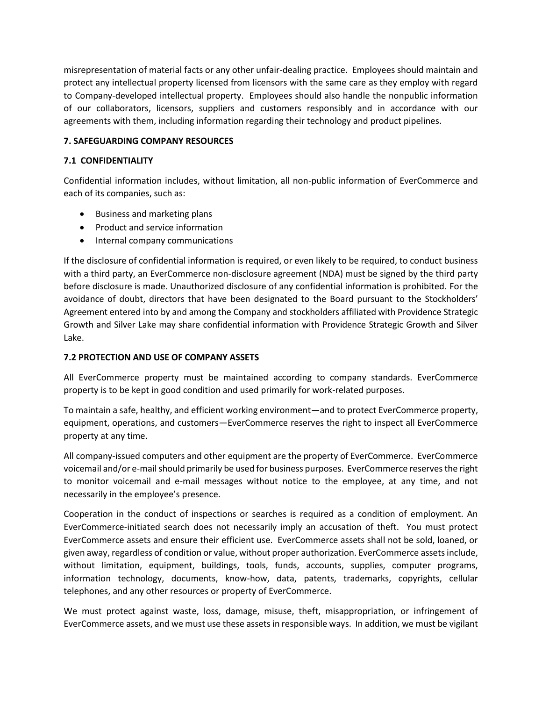misrepresentation of material facts or any other unfair-dealing practice. Employees should maintain and protect any intellectual property licensed from licensors with the same care as they employ with regard to Company-developed intellectual property. Employees should also handle the nonpublic information of our collaborators, licensors, suppliers and customers responsibly and in accordance with our agreements with them, including information regarding their technology and product pipelines.

## **7. SAFEGUARDING COMPANY RESOURCES**

## **7.1 CONFIDENTIALITY**

Confidential information includes, without limitation, all non-public information of EverCommerce and each of its companies, such as:

- Business and marketing plans
- Product and service information
- Internal company communications

If the disclosure of confidential information is required, or even likely to be required, to conduct business with a third party, an EverCommerce non-disclosure agreement (NDA) must be signed by the third party before disclosure is made. Unauthorized disclosure of any confidential information is prohibited. For the avoidance of doubt, directors that have been designated to the Board pursuant to the Stockholders' Agreement entered into by and among the Company and stockholders affiliated with Providence Strategic Growth and Silver Lake may share confidential information with Providence Strategic Growth and Silver Lake.

# **7.2 PROTECTION AND USE OF COMPANY ASSETS**

All EverCommerce property must be maintained according to company standards. EverCommerce property is to be kept in good condition and used primarily for work-related purposes.

To maintain a safe, healthy, and efficient working environment—and to protect EverCommerce property, equipment, operations, and customers—EverCommerce reserves the right to inspect all EverCommerce property at any time.

All company-issued computers and other equipment are the property of EverCommerce. EverCommerce voicemail and/or e-mail should primarily be used for business purposes. EverCommerce reserves the right to monitor voicemail and e-mail messages without notice to the employee, at any time, and not necessarily in the employee's presence.

Cooperation in the conduct of inspections or searches is required as a condition of employment. An EverCommerce-initiated search does not necessarily imply an accusation of theft. You must protect EverCommerce assets and ensure their efficient use. EverCommerce assets shall not be sold, loaned, or given away, regardless of condition or value, without proper authorization. EverCommerce assets include, without limitation, equipment, buildings, tools, funds, accounts, supplies, computer programs, information technology, documents, know-how, data, patents, trademarks, copyrights, cellular telephones, and any other resources or property of EverCommerce.

We must protect against waste, loss, damage, misuse, theft, misappropriation, or infringement of EverCommerce assets, and we must use these assets in responsible ways. In addition, we must be vigilant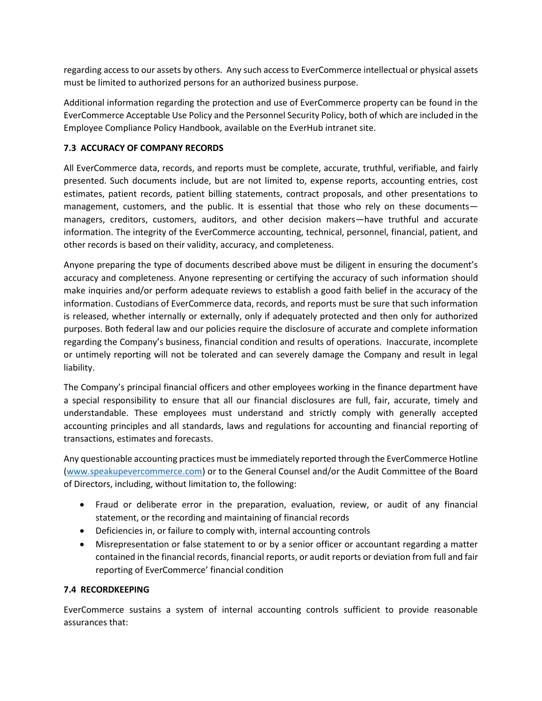regarding access to our assets by others. Any such access to EverCommerce intellectual or physical assets must be limited to authorized persons for an authorized business purpose.

Additional information regarding the protection and use of EverCommerce property can be found in the EverCommerce Acceptable Use Policy and the Personnel Security Policy, both of which are included in the Employee Compliance Policy Handbook, available on the EverHub intranet site.

## **7.3 ACCURACY OF COMPANY RECORDS**

All EverCommerce data, records, and reports must be complete, accurate, truthful, verifiable, and fairly presented. Such documents include, but are not limited to, expense reports, accounting entries, cost estimates, patient records, patient billing statements, contract proposals, and other presentations to management, customers, and the public. It is essential that those who rely on these documentsmanagers, creditors, customers, auditors, and other decision makers—have truthful and accurate information. The integrity of the EverCommerce accounting, technical, personnel, financial, patient, and other records is based on their validity, accuracy, and completeness.

Anyone preparing the type of documents described above must be diligent in ensuring the document's accuracy and completeness. Anyone representing or certifying the accuracy of such information should make inquiries and/or perform adequate reviews to establish a good faith belief in the accuracy of the information. Custodians of EverCommerce data, records, and reports must be sure that such information is released, whether internally or externally, only if adequately protected and then only for authorized purposes. Both federal law and our policies require the disclosure of accurate and complete information regarding the Company's business, financial condition and results of operations. Inaccurate, incomplete or untimely reporting will not be tolerated and can severely damage the Company and result in legal liability.

The Company's principal financial officers and other employees working in the finance department have a special responsibility to ensure that all our financial disclosures are full, fair, accurate, timely and understandable. These employees must understand and strictly comply with generally accepted accounting principles and all standards, laws and regulations for accounting and financial reporting of transactions, estimates and forecasts.

Any questionable accounting practices must be immediately reported through the EverCommerce Hotline [\(www.speakupevercommerce.com\)](http://www.speakupevercommerce.com/) or to the General Counsel and/or the Audit Committee of the Board of Directors, including, without limitation to, the following:

- Fraud or deliberate error in the preparation, evaluation, review, or audit of any financial statement, or the recording and maintaining of financial records
- Deficiencies in, or failure to comply with, internal accounting controls
- Misrepresentation or false statement to or by a senior officer or accountant regarding a matter contained in the financial records, financial reports, or audit reports or deviation from full and fair reporting of EverCommerce' financial condition

#### **7.4 RECORDKEEPING**

EverCommerce sustains a system of internal accounting controls sufficient to provide reasonable assurances that: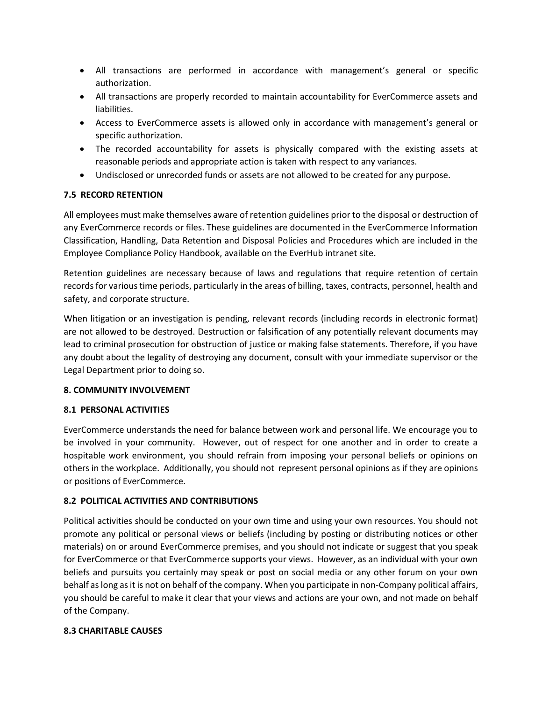- All transactions are performed in accordance with management's general or specific authorization.
- All transactions are properly recorded to maintain accountability for EverCommerce assets and liabilities.
- Access to EverCommerce assets is allowed only in accordance with management's general or specific authorization.
- The recorded accountability for assets is physically compared with the existing assets at reasonable periods and appropriate action is taken with respect to any variances.
- Undisclosed or unrecorded funds or assets are not allowed to be created for any purpose.

## **7.5 RECORD RETENTION**

All employees must make themselves aware of retention guidelines prior to the disposal or destruction of any EverCommerce records or files. These guidelines are documented in the EverCommerce Information Classification, Handling, Data Retention and Disposal Policies and Procedures which are included in the Employee Compliance Policy Handbook, available on the EverHub intranet site.

Retention guidelines are necessary because of laws and regulations that require retention of certain records for various time periods, particularly in the areas of billing, taxes, contracts, personnel, health and safety, and corporate structure.

When litigation or an investigation is pending, relevant records (including records in electronic format) are not allowed to be destroyed. Destruction or falsification of any potentially relevant documents may lead to criminal prosecution for obstruction of justice or making false statements. Therefore, if you have any doubt about the legality of destroying any document, consult with your immediate supervisor or the Legal Department prior to doing so.

#### **8. COMMUNITY INVOLVEMENT**

#### **8.1 PERSONAL ACTIVITIES**

EverCommerce understands the need for balance between work and personal life. We encourage you to be involved in your community. However, out of respect for one another and in order to create a hospitable work environment, you should refrain from imposing your personal beliefs or opinions on others in the workplace. Additionally, you should not represent personal opinions as if they are opinions or positions of EverCommerce.

#### **8.2 POLITICAL ACTIVITIES AND CONTRIBUTIONS**

Political activities should be conducted on your own time and using your own resources. You should not promote any political or personal views or beliefs (including by posting or distributing notices or other materials) on or around EverCommerce premises, and you should not indicate or suggest that you speak for EverCommerce or that EverCommerce supports your views. However, as an individual with your own beliefs and pursuits you certainly may speak or post on social media or any other forum on your own behalf as long as it is not on behalf of the company. When you participate in non-Company political affairs, you should be careful to make it clear that your views and actions are your own, and not made on behalf of the Company.

#### **8.3 CHARITABLE CAUSES**